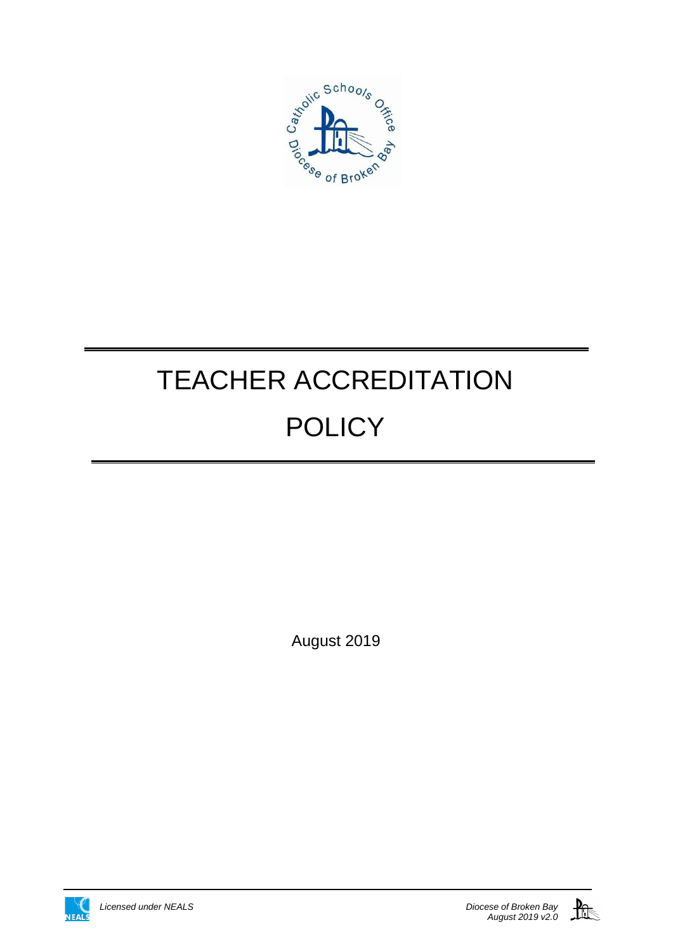

# TEACHER ACCREDITATION **POLICY**

August 2019



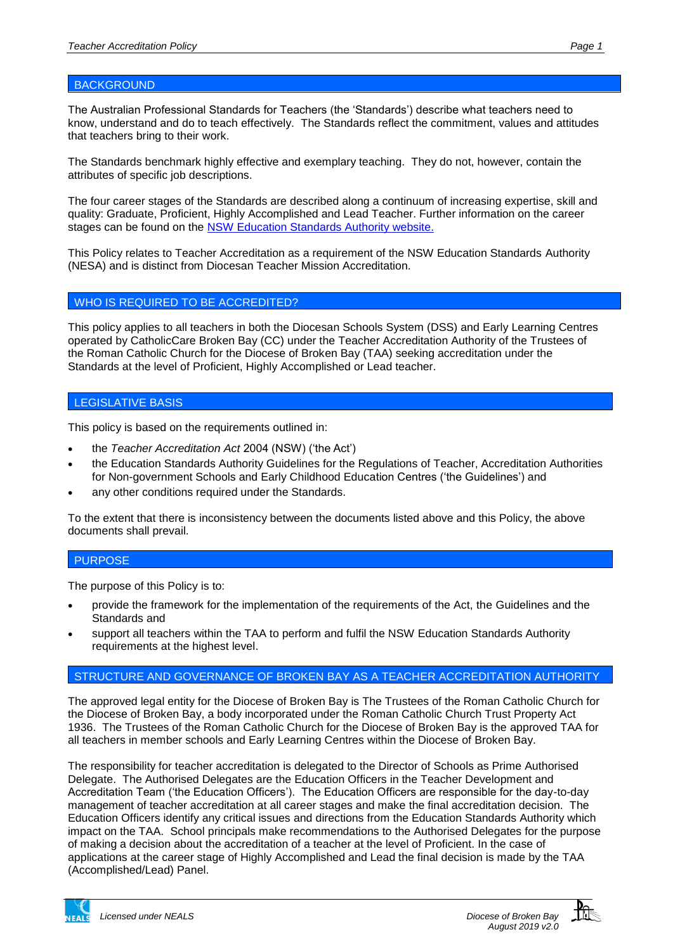# **BACKGROUND**

The Australian Professional Standards for Teachers (the 'Standards') describe what teachers need to know, understand and do to teach effectively. The Standards reflect the commitment, values and attitudes that teachers bring to their work.

The Standards benchmark highly effective and exemplary teaching. They do not, however, contain the attributes of specific job descriptions.

The four career stages of the Standards are described along a continuum of increasing expertise, skill and quality: Graduate, Proficient, Highly Accomplished and Lead Teacher. Further information on the career stages can be found on the [NSW Education Standards](https://educationstandards.nsw.edu.au/wps/portal/nesa/home) [Authority website.](https://educationstandards.nsw.edu.au/wps/portal/nesa/home)

This Policy relates to Teacher Accreditation as a requirement of the NSW Education Standards Authority (NESA) and is distinct from Diocesan Teacher Mission Accreditation.

## WHO IS REQUIRED TO BE ACCREDITED?

This policy applies to all teachers in both the Diocesan Schools System (DSS) and Early Learning Centres operated by CatholicCare Broken Bay (CC) under the Teacher Accreditation Authority of the Trustees of the Roman Catholic Church for the Diocese of Broken Bay (TAA) seeking accreditation under the Standards at the level of Proficient, Highly Accomplished or Lead teacher.

#### LEGISLATIVE BASIS

This policy is based on the requirements outlined in:

- the *Teacher Accreditation Act* 2004 (NSW) ('the Act')
- the Education Standards Authority Guidelines for the Regulations of Teacher, Accreditation Authorities for Non-government Schools and Early Childhood Education Centres ('the Guidelines') and
- any other conditions required under the Standards.

To the extent that there is inconsistency between the documents listed above and this Policy, the above documents shall prevail.

## PURPOSE

The purpose of this Policy is to:

- provide the framework for the implementation of the requirements of the Act, the Guidelines and the Standards and
- support all teachers within the TAA to perform and fulfil the NSW Education Standards Authority requirements at the highest level.

## STRUCTURE AND GOVERNANCE OF BROKEN BAY AS A TEACHER ACCREDITATION AUTHORITY

The approved legal entity for the Diocese of Broken Bay is The Trustees of the Roman Catholic Church for the Diocese of Broken Bay, a body incorporated under the Roman Catholic Church Trust Property Act 1936. The Trustees of the Roman Catholic Church for the Diocese of Broken Bay is the approved TAA for all teachers in member schools and Early Learning Centres within the Diocese of Broken Bay.

The responsibility for teacher accreditation is delegated to the Director of Schools as Prime Authorised Delegate. The Authorised Delegates are the Education Officers in the Teacher Development and Accreditation Team ('the Education Officers'). The Education Officers are responsible for the day-to-day management of teacher accreditation at all career stages and make the final accreditation decision. The Education Officers identify any critical issues and directions from the Education Standards Authority which impact on the TAA. School principals make recommendations to the Authorised Delegates for the purpose of making a decision about the accreditation of a teacher at the level of Proficient. In the case of applications at the career stage of Highly Accomplished and Lead the final decision is made by the TAA (Accomplished/Lead) Panel.

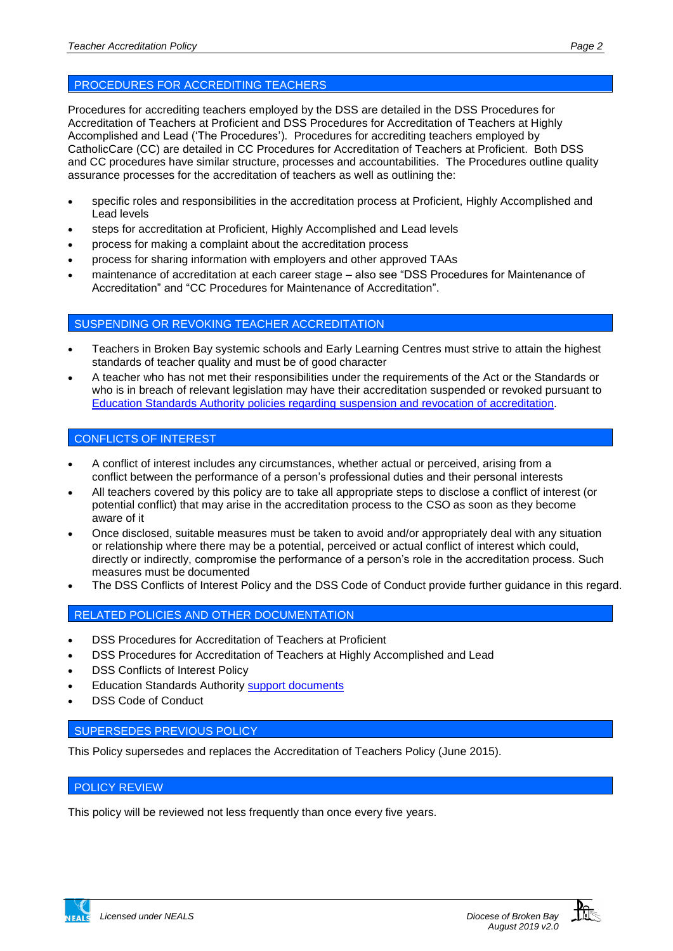Procedures for accrediting teachers employed by the DSS are detailed in the DSS Procedures for Accreditation of Teachers at Proficient and DSS Procedures for Accreditation of Teachers at Highly Accomplished and Lead ('The Procedures'). Procedures for accrediting teachers employed by CatholicCare (CC) are detailed in CC Procedures for Accreditation of Teachers at Proficient. Both DSS and CC procedures have similar structure, processes and accountabilities. The Procedures outline quality assurance processes for the accreditation of teachers as well as outlining the:

- specific roles and responsibilities in the accreditation process at Proficient, Highly Accomplished and Lead levels
- steps for accreditation at Proficient, Highly Accomplished and Lead levels
- process for making a complaint about the accreditation process
- process for sharing information with employers and other approved TAAs
- maintenance of accreditation at each career stage also see "DSS Procedures for Maintenance of Accreditation" and "CC Procedures for Maintenance of Accreditation".

#### SUSPENDING OR REVOKING TEACHER ACCREDITATION

- Teachers in Broken Bay systemic schools and Early Learning Centres must strive to attain the highest standards of teacher quality and must be of good character
- A teacher who has not met their responsibilities under the requirements of the Act or the Standards or who is in breach of relevant legislation may have their accreditation suspended or revoked pursuant to [Education Standards Authority policies regarding](https://educationstandards.nsw.edu.au/wps/portal/nesa/teacher-accreditation/how-accreditation-works/guide-to-accreditation/revocation-suspension/!ut/p/z1/xVPLcoIwFP2WLlhmcgnIY0lfUnzg2KKSjRNDVLQCQoS2X1-w7aKdUdpx0aySzDn3nHtzgimeYZqwMl4xGacJe67PITXm-oMLoAHpd3teBxzPH3ukN_SsCcHTI4A4qqG6utrzu5YKzpOvGsQziR90MG34KumqqkUGYBITnPHoZnTr3hPodz75cGI58Dv-GQA973-CKaY8kZlc4zCr5jxNpEikAlmebgSXqBILBRJRMAWkYHwtcsQ4z0UUy-OQFFin1fcrVKX5tlBgdYgjgWT6k5CLMuUfyOJQZCIp6m3jI-NxhEOytC17ITgSEQekE9tAlg0mWhoWM3QdCIvYV9-nG6Pnxzpt9Fperq1GWHswT3nwoRYpY1HhIEnzXZ2lxz-26LYqGBcqtJTXLizvtYWv_l3xZr-nTh3BJncvEs_-NYPZLgiCnaW9ou1ycKfpoVe-XQ8RDZ2rq3fYaMIF/dz/d5/L2dBISEvZ0FBIS9nQSEh/?urile=wcm%3Apath%3A%2Fpw_content%2Fproject-web%2Fnesa%2Fteacher-accreditation%2Fhow-accreditation-works%2Fguide-to-accreditation%2Frevocation-suspension) suspension and revocation of accreditation.

# CONFLICTS OF INTEREST

- A conflict of interest includes any circumstances, whether actual or perceived, arising from a conflict between the performance of a person's professional duties and their personal interests
- All teachers covered by this policy are to take all appropriate steps to disclose a conflict of interest (or potential conflict) that may arise in the accreditation process to the CSO as soon as they become aware of it
- Once disclosed, suitable measures must be taken to avoid and/or appropriately deal with any situation or relationship where there may be a potential, perceived or actual conflict of interest which could, directly or indirectly, compromise the performance of a person's role in the accreditation process. Such measures must be documented
- The DSS Conflicts of Interest Policy and the DSS Code of Conduct provide further guidance in this regard.

# RELATED POLICIES AND OTHER DOCUMENTATION

- DSS Procedures for Accreditation of Teachers at Proficient
- DSS Procedures for Accreditation of Teachers at Highly Accomplished and Lead
- DSS Conflicts of Interest Policy
- Education Standards Authority [support documents](https://educationstandards.nsw.edu.au/wps/portal/nesa/teacher-accreditation/how-accreditation-works/resources-for-teachers)
- DSS Code of Conduct

## SUPERSEDES PREVIOUS POLICY

This Policy supersedes and replaces the Accreditation of Teachers Policy (June 2015).

# POLICY REVIEW

This policy will be reviewed not less frequently than once every five years.